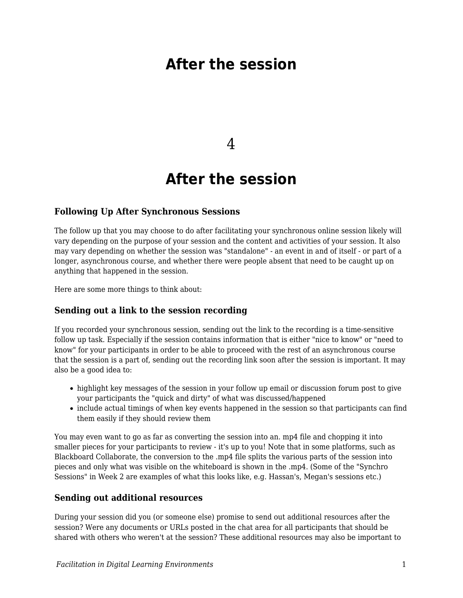# **After the session**

4

## **After the session**

### **Following Up After Synchronous Sessions**

The follow up that you may choose to do after facilitating your synchronous online session likely will vary depending on the purpose of your session and the content and activities of your session. It also may vary depending on whether the session was "standalone" - an event in and of itself - or part of a longer, asynchronous course, and whether there were people absent that need to be caught up on anything that happened in the session.

Here are some more things to think about:

#### **Sending out a link to the session recording**

If you recorded your synchronous session, sending out the link to the recording is a time-sensitive follow up task. Especially if the session contains information that is either "nice to know" or "need to know" for your participants in order to be able to proceed with the rest of an asynchronous course that the session is a part of, sending out the recording link soon after the session is important. It may also be a good idea to:

- highlight key messages of the session in your follow up email or discussion forum post to give your participants the "quick and dirty" of what was discussed/happened
- include actual timings of when key events happened in the session so that participants can find them easily if they should review them

You may even want to go as far as converting the session into an. mp4 file and chopping it into smaller pieces for your participants to review - it's up to you! Note that in some platforms, such as Blackboard Collaborate, the conversion to the .mp4 file splits the various parts of the session into pieces and only what was visible on the whiteboard is shown in the .mp4. (Some of the "Synchro Sessions" in Week 2 are examples of what this looks like, e.g. Hassan's, Megan's sessions etc.)

## **Sending out additional resources**

During your session did you (or someone else) promise to send out additional resources after the session? Were any documents or URLs posted in the chat area for all participants that should be shared with others who weren't at the session? These additional resources may also be important to